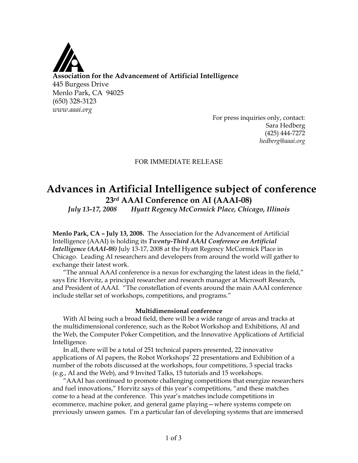

For press inquiries only, contact: Sara Hedberg (425) 444-7272 *hedberg@aaai.org*

### FOR IMMEDIATE RELEASE

# **Advances in Artificial Intelligence subject of conference 23rd AAAI Conference on AI (AAAI-08)**

*July 13-17, 2008 Hyatt Regency McCormick Place, Chicago, Illinois*

**Menlo Park, CA – July 13, 2008.** The Association for the Advancement of Artificial Intelligence (AAAI) is holding its *Twenty-Third AAAI Conference on Artificial Intelligence (AAAI-08)* July 13-17, 2008 at the Hyatt Regency McCormick Place in Chicago. Leading AI researchers and developers from around the world will gather to exchange their latest work.

"The annual AAAI conference is a nexus for exchanging the latest ideas in the field," says Eric Horvitz, a principal researcher and research manager at Microsoft Research, and President of AAAI. "The constellation of events around the main AAAI conference include stellar set of workshops, competitions, and programs."

#### **Multidimensional conference**

With AI being such a broad field, there will be a wide range of areas and tracks at the multidimensional conference, such as the Robot Workshop and Exhibitions, AI and the Web, the Computer Poker Competition, and the Innovative Applications of Artificial Intelligence.

In all, there will be a total of 251 technical papers presented, 22 innovative applications of AI papers, the Robot Workshops' 22 presentations and Exhibition of a number of the robots discussed at the workshops, four competitions, 3 special tracks (e.g., AI and the Web), and 9 Invited Talks, 15 tutorials and 15 workshops.

"AAAI has continued to promote challenging competitions that energize researchers and fuel innovations," Horvitz says of this year's competitions, "and these matches come to a head at the conference. This year's matches include competitions in ecommerce, machine poker, and general game playing—where systems compete on previously unseen games. I'm a particular fan of developing systems that are immersed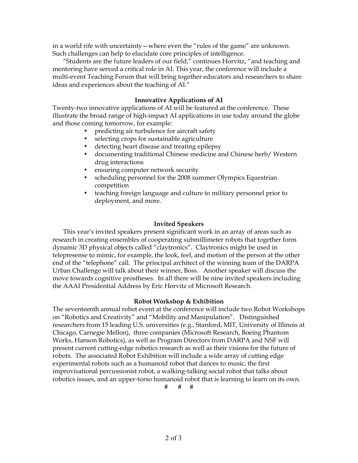in a world rife with uncertainty—where even the "rules of the game" are unknown. Such challenges can help to elucidate core principles of intelligence.

"Students are the future leaders of our field," continues Horvitz, "and teaching and mentoring have served a critical role in AI. This year, the conference will include a multi-event Teaching Forum that will bring together educators and researchers to share ideas and experiences about the teaching of AI."

## **Innovative Applications of AI**

Twenty-two innovative applications of AI will be featured at the conference. These illustrate the broad range of high-impact AI applications in use today around the globe and those coming tomorrow, for example:

- predicting air turbulence for aircraft safety
- selecting crops for sustainable agriculture
- detecting heart disease and treating epilepsy
- documenting traditional Chinese medicine and Chinese herb/ Western drug interactions
- ensuring computer network security
- scheduling personnel for the 2008 summer Olympics Equestrian competition
- teaching foreign language and culture to military personnel prior to deployment, and more.

#### **Invited Speakers**

This year's invited speakers present significant work in an array of areas such as research in creating ensembles of cooperating submillimeter robots that together form dynamic 3D physical objects called "claytronics". Claytronics might be used in telepresense to mimic, for example, the look, feel, and motion of the person at the other end of the "telephone" call. The principal architect of the winning team of the DARPA Urban Challenge will talk about their winner, Boss. Another speaker will discuss the move towards cognitive prostheses. In all there will be nine invited speakers including the AAAI Presidential Address by Eric Horvitz of Microsoft Research.

#### **Robot Workshop & Exhibition**

The seventeenth annual robot event at the conference will include two Robot Workshops on "Robotics and Creativity" and "Mobility and Manipulation". Distinguished researchers from 15 leading U.S. universities (e.g., Stanford, MIT, University of Illinois at Chicago, Carnegie Mellon), three companies (Microsoft Research, Boeing Phantom Works, Hanson Robotics), as well as Program Directors from DARPA and NSF will present current cutting-edge robotics research as well as their visions for the future of robots. The associated Robot Exhibition will include a wide array of cutting edge experimental robots such as a humanoid robot that dances to music, the first improvisational percussionist robot, a walking-talking social robot that talks about robotics issues, and an upper-torso humanoid robot that is learning to learn on its own.

# # #